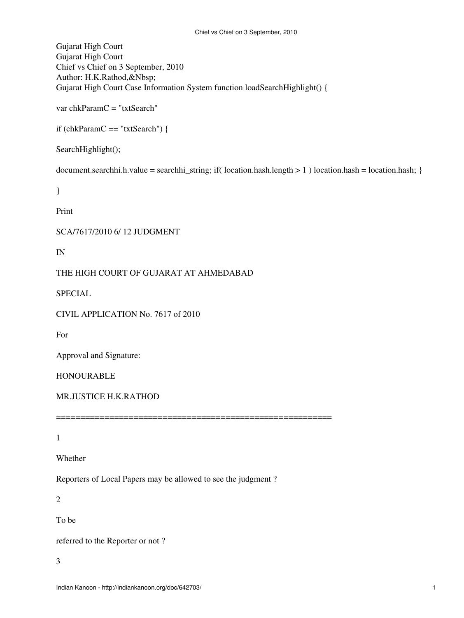Gujarat High Court Gujarat High Court Chief vs Chief on 3 September, 2010 Author: H.K.Rathod,&Nbsp; Gujarat High Court Case Information System function loadSearchHighlight() {

var chkParamC = "txtSearch"

if (chkParamC == "txtSearch") {

SearchHighlight();

document.searchhi.h.value = searchhi\_string; if( location.hash.length > 1 ) location.hash = location.hash; }

}

Print

SCA/7617/2010 6/ 12 JUDGMENT

IN

THE HIGH COURT OF GUJARAT AT AHMEDABAD

SPECIAL

CIVIL APPLICATION No. 7617 of 2010

For

Approval and Signature:

HONOURABLE

MR.JUSTICE H.K.RATHOD

1

Whether

Reporters of Local Papers may be allowed to see the judgment ?

=========================================================

2

To be

referred to the Reporter or not ?

3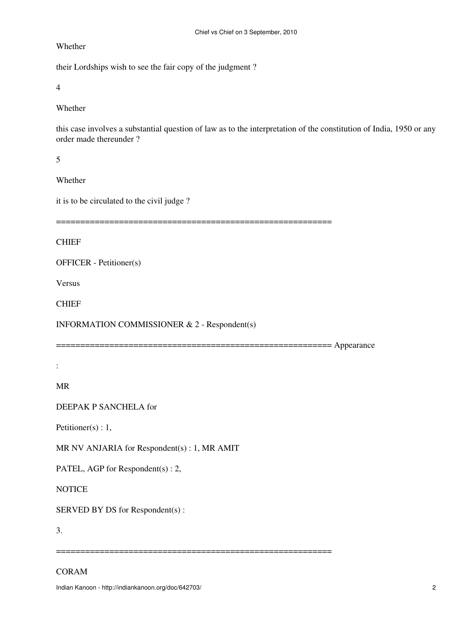Whether

their Lordships wish to see the fair copy of the judgment ?

4

Whether

this case involves a substantial question of law as to the interpretation of the constitution of India, 1950 or any order made thereunder ?

5

Whether

it is to be circulated to the civil judge ?

=========================================================

**CHIEF** 

OFFICER - Petitioner(s)

Versus

CHIEF

INFORMATION COMMISSIONER & 2 - Respondent(s)

========================================================= Appearance

=========================================================

:

MR

DEEPAK P SANCHELA for

Petitioner(s) : 1,

MR NV ANJARIA for Respondent(s) : 1, MR AMIT

PATEL, AGP for Respondent(s) : 2,

**NOTICE** 

SERVED BY DS for Respondent(s) :

3.

# CORAM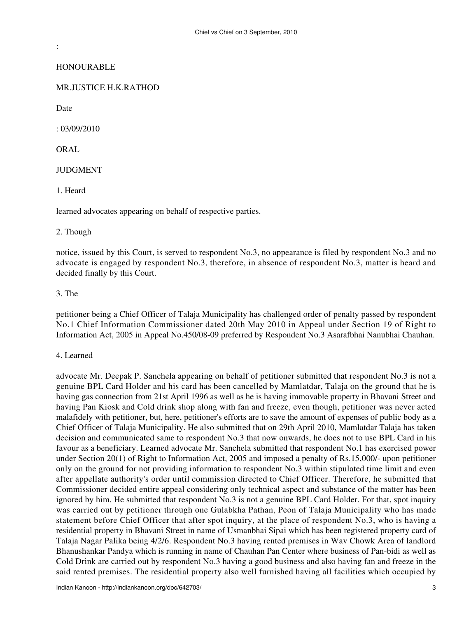**HONOURABLE** 

# MR.JUSTICE H.K.RATHOD

Date

:

: 03/09/2010

ORAL

**JUDGMENT** 

1. Heard

learned advocates appearing on behalf of respective parties.

#### 2. Though

notice, issued by this Court, is served to respondent No.3, no appearance is filed by respondent No.3 and no advocate is engaged by respondent No.3, therefore, in absence of respondent No.3, matter is heard and decided finally by this Court.

#### 3. The

petitioner being a Chief Officer of Talaja Municipality has challenged order of penalty passed by respondent No.1 Chief Information Commissioner dated 20th May 2010 in Appeal under Section 19 of Right to Information Act, 2005 in Appeal No.450/08-09 preferred by Respondent No.3 Asarafbhai Nanubhai Chauhan.

#### 4. Learned

advocate Mr. Deepak P. Sanchela appearing on behalf of petitioner submitted that respondent No.3 is not a genuine BPL Card Holder and his card has been cancelled by Mamlatdar, Talaja on the ground that he is having gas connection from 21st April 1996 as well as he is having immovable property in Bhavani Street and having Pan Kiosk and Cold drink shop along with fan and freeze, even though, petitioner was never acted malafidely with petitioner, but, here, petitioner's efforts are to save the amount of expenses of public body as a Chief Officer of Talaja Municipality. He also submitted that on 29th April 2010, Mamlatdar Talaja has taken decision and communicated same to respondent No.3 that now onwards, he does not to use BPL Card in his favour as a beneficiary. Learned advocate Mr. Sanchela submitted that respondent No.1 has exercised power under Section 20(1) of Right to Information Act, 2005 and imposed a penalty of Rs.15,000/- upon petitioner only on the ground for not providing information to respondent No.3 within stipulated time limit and even after appellate authority's order until commission directed to Chief Officer. Therefore, he submitted that Commissioner decided entire appeal considering only technical aspect and substance of the matter has been ignored by him. He submitted that respondent No.3 is not a genuine BPL Card Holder. For that, spot inquiry was carried out by petitioner through one Gulabkha Pathan, Peon of Talaja Municipality who has made statement before Chief Officer that after spot inquiry, at the place of respondent No.3, who is having a residential property in Bhavani Street in name of Usmanbhai Sipai which has been registered property card of Talaja Nagar Palika being 4/2/6. Respondent No.3 having rented premises in Wav Chowk Area of landlord Bhanushankar Pandya which is running in name of Chauhan Pan Center where business of Pan-bidi as well as Cold Drink are carried out by respondent No.3 having a good business and also having fan and freeze in the said rented premises. The residential property also well furnished having all facilities which occupied by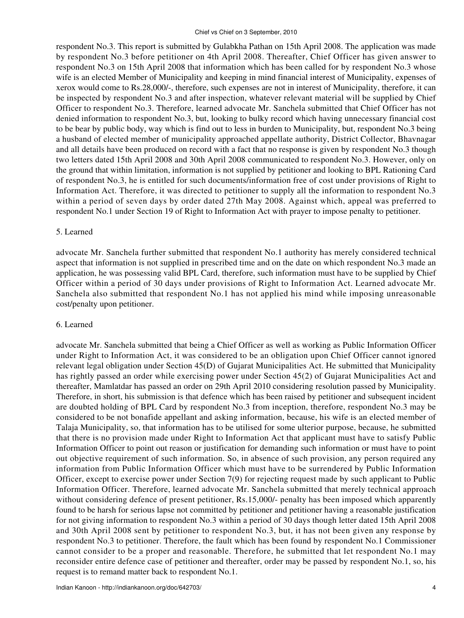respondent No.3. This report is submitted by Gulabkha Pathan on 15th April 2008. The application was made by respondent No.3 before petitioner on 4th April 2008. Thereafter, Chief Officer has given answer to respondent No.3 on 15th April 2008 that information which has been called for by respondent No.3 whose wife is an elected Member of Municipality and keeping in mind financial interest of Municipality, expenses of xerox would come to Rs.28,000/-, therefore, such expenses are not in interest of Municipality, therefore, it can be inspected by respondent No.3 and after inspection, whatever relevant material will be supplied by Chief Officer to respondent No.3. Therefore, learned advocate Mr. Sanchela submitted that Chief Officer has not denied information to respondent No.3, but, looking to bulky record which having unnecessary financial cost to be bear by public body, way which is find out to less in burden to Municipality, but, respondent No.3 being a husband of elected member of municipality approached appellate authority, District Collector, Bhavnagar and all details have been produced on record with a fact that no response is given by respondent No.3 though two letters dated 15th April 2008 and 30th April 2008 communicated to respondent No.3. However, only on the ground that within limitation, information is not supplied by petitioner and looking to BPL Rationing Card of respondent No.3, he is entitled for such documents/information free of cost under provisions of Right to Information Act. Therefore, it was directed to petitioner to supply all the information to respondent No.3 within a period of seven days by order dated 27th May 2008. Against which, appeal was preferred to respondent No.1 under Section 19 of Right to Information Act with prayer to impose penalty to petitioner.

# 5. Learned

advocate Mr. Sanchela further submitted that respondent No.1 authority has merely considered technical aspect that information is not supplied in prescribed time and on the date on which respondent No.3 made an application, he was possessing valid BPL Card, therefore, such information must have to be supplied by Chief Officer within a period of 30 days under provisions of Right to Information Act. Learned advocate Mr. Sanchela also submitted that respondent No.1 has not applied his mind while imposing unreasonable cost/penalty upon petitioner.

# 6. Learned

advocate Mr. Sanchela submitted that being a Chief Officer as well as working as Public Information Officer under Right to Information Act, it was considered to be an obligation upon Chief Officer cannot ignored relevant legal obligation under Section 45(D) of Gujarat Municipalities Act. He submitted that Municipality has rightly passed an order while exercising power under Section 45(2) of Gujarat Municipalities Act and thereafter, Mamlatdar has passed an order on 29th April 2010 considering resolution passed by Municipality. Therefore, in short, his submission is that defence which has been raised by petitioner and subsequent incident are doubted holding of BPL Card by respondent No.3 from inception, therefore, respondent No.3 may be considered to be not bonafide appellant and asking information, because, his wife is an elected member of Talaja Municipality, so, that information has to be utilised for some ulterior purpose, because, he submitted that there is no provision made under Right to Information Act that applicant must have to satisfy Public Information Officer to point out reason or justification for demanding such information or must have to point out objective requirement of such information. So, in absence of such provision, any person required any information from Public Information Officer which must have to be surrendered by Public Information Officer, except to exercise power under Section 7(9) for rejecting request made by such applicant to Public Information Officer. Therefore, learned advocate Mr. Sanchela submitted that merely technical approach without considering defence of present petitioner, Rs.15,000/- penalty has been imposed which apparently found to be harsh for serious lapse not committed by petitioner and petitioner having a reasonable justification for not giving information to respondent No.3 within a period of 30 days though letter dated 15th April 2008 and 30th April 2008 sent by petitioner to respondent No.3, but, it has not been given any response by respondent No.3 to petitioner. Therefore, the fault which has been found by respondent No.1 Commissioner cannot consider to be a proper and reasonable. Therefore, he submitted that let respondent No.1 may reconsider entire defence case of petitioner and thereafter, order may be passed by respondent No.1, so, his request is to remand matter back to respondent No.1.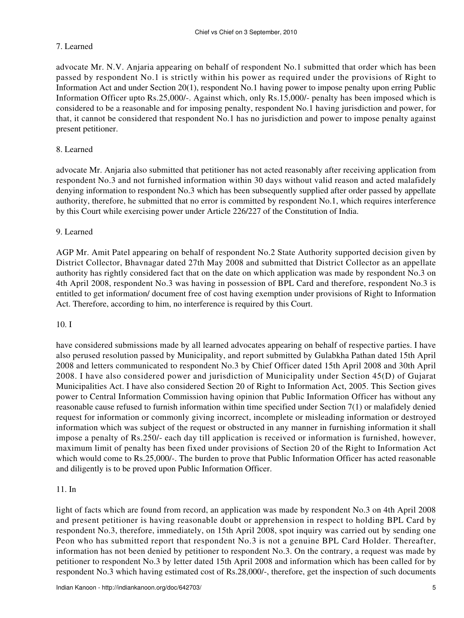# 7. Learned

advocate Mr. N.V. Anjaria appearing on behalf of respondent No.1 submitted that order which has been passed by respondent No.1 is strictly within his power as required under the provisions of Right to Information Act and under Section 20(1), respondent No.1 having power to impose penalty upon erring Public Information Officer upto Rs.25,000/-. Against which, only Rs.15,000/- penalty has been imposed which is considered to be a reasonable and for imposing penalty, respondent No.1 having jurisdiction and power, for that, it cannot be considered that respondent No.1 has no jurisdiction and power to impose penalty against present petitioner.

# 8. Learned

advocate Mr. Anjaria also submitted that petitioner has not acted reasonably after receiving application from respondent No.3 and not furnished information within 30 days without valid reason and acted malafidely denying information to respondent No.3 which has been subsequently supplied after order passed by appellate authority, therefore, he submitted that no error is committed by respondent No.1, which requires interference by this Court while exercising power under Article 226/227 of the Constitution of India.

# 9. Learned

AGP Mr. Amit Patel appearing on behalf of respondent No.2 State Authority supported decision given by District Collector, Bhavnagar dated 27th May 2008 and submitted that District Collector as an appellate authority has rightly considered fact that on the date on which application was made by respondent No.3 on 4th April 2008, respondent No.3 was having in possession of BPL Card and therefore, respondent No.3 is entitled to get information/ document free of cost having exemption under provisions of Right to Information Act. Therefore, according to him, no interference is required by this Court.

# 10. I

have considered submissions made by all learned advocates appearing on behalf of respective parties. I have also perused resolution passed by Municipality, and report submitted by Gulabkha Pathan dated 15th April 2008 and letters communicated to respondent No.3 by Chief Officer dated 15th April 2008 and 30th April 2008. I have also considered power and jurisdiction of Municipality under Section 45(D) of Gujarat Municipalities Act. I have also considered Section 20 of Right to Information Act, 2005. This Section gives power to Central Information Commission having opinion that Public Information Officer has without any reasonable cause refused to furnish information within time specified under Section 7(1) or malafidely denied request for information or commonly giving incorrect, incomplete or misleading information or destroyed information which was subject of the request or obstructed in any manner in furnishing information it shall impose a penalty of Rs.250/- each day till application is received or information is furnished, however, maximum limit of penalty has been fixed under provisions of Section 20 of the Right to Information Act which would come to Rs.25,000/-. The burden to prove that Public Information Officer has acted reasonable and diligently is to be proved upon Public Information Officer.

# 11. In

light of facts which are found from record, an application was made by respondent No.3 on 4th April 2008 and present petitioner is having reasonable doubt or apprehension in respect to holding BPL Card by respondent No.3, therefore, immediately, on 15th April 2008, spot inquiry was carried out by sending one Peon who has submitted report that respondent No.3 is not a genuine BPL Card Holder. Thereafter, information has not been denied by petitioner to respondent No.3. On the contrary, a request was made by petitioner to respondent No.3 by letter dated 15th April 2008 and information which has been called for by respondent No.3 which having estimated cost of Rs.28,000/-, therefore, get the inspection of such documents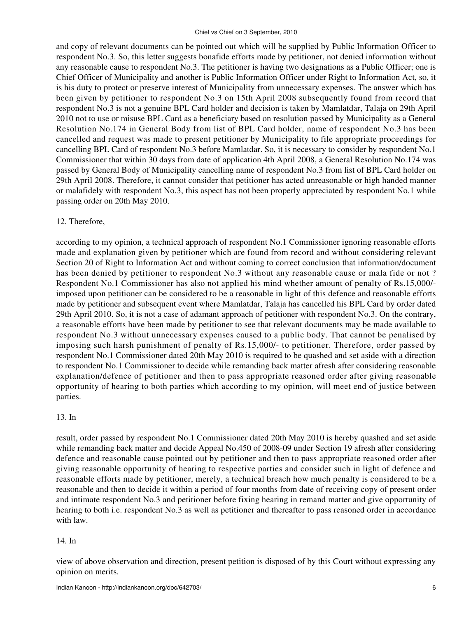#### Chief vs Chief on 3 September, 2010

and copy of relevant documents can be pointed out which will be supplied by Public Information Officer to respondent No.3. So, this letter suggests bonafide efforts made by petitioner, not denied information without any reasonable cause to respondent No.3. The petitioner is having two designations as a Public Officer; one is Chief Officer of Municipality and another is Public Information Officer under Right to Information Act, so, it is his duty to protect or preserve interest of Municipality from unnecessary expenses. The answer which has been given by petitioner to respondent No.3 on 15th April 2008 subsequently found from record that respondent No.3 is not a genuine BPL Card holder and decision is taken by Mamlatdar, Talaja on 29th April 2010 not to use or misuse BPL Card as a beneficiary based on resolution passed by Municipality as a General Resolution No.174 in General Body from list of BPL Card holder, name of respondent No.3 has been cancelled and request was made to present petitioner by Municipality to file appropriate proceedings for cancelling BPL Card of respondent No.3 before Mamlatdar. So, it is necessary to consider by respondent No.1 Commissioner that within 30 days from date of application 4th April 2008, a General Resolution No.174 was passed by General Body of Municipality cancelling name of respondent No.3 from list of BPL Card holder on 29th April 2008. Therefore, it cannot consider that petitioner has acted unreasonable or high handed manner or malafidely with respondent No.3, this aspect has not been properly appreciated by respondent No.1 while passing order on 20th May 2010.

# 12. Therefore,

according to my opinion, a technical approach of respondent No.1 Commissioner ignoring reasonable efforts made and explanation given by petitioner which are found from record and without considering relevant Section 20 of Right to Information Act and without coming to correct conclusion that information/document has been denied by petitioner to respondent No.3 without any reasonable cause or mala fide or not ? Respondent No.1 Commissioner has also not applied his mind whether amount of penalty of Rs.15,000/ imposed upon petitioner can be considered to be a reasonable in light of this defence and reasonable efforts made by petitioner and subsequent event where Mamlatdar, Talaja has cancelled his BPL Card by order dated 29th April 2010. So, it is not a case of adamant approach of petitioner with respondent No.3. On the contrary, a reasonable efforts have been made by petitioner to see that relevant documents may be made available to respondent No.3 without unnecessary expenses caused to a public body. That cannot be penalised by imposing such harsh punishment of penalty of Rs.15,000/- to petitioner. Therefore, order passed by respondent No.1 Commissioner dated 20th May 2010 is required to be quashed and set aside with a direction to respondent No.1 Commissioner to decide while remanding back matter afresh after considering reasonable explanation/defence of petitioner and then to pass appropriate reasoned order after giving reasonable opportunity of hearing to both parties which according to my opinion, will meet end of justice between parties.

# 13. In

result, order passed by respondent No.1 Commissioner dated 20th May 2010 is hereby quashed and set aside while remanding back matter and decide Appeal No.450 of 2008-09 under Section 19 afresh after considering defence and reasonable cause pointed out by petitioner and then to pass appropriate reasoned order after giving reasonable opportunity of hearing to respective parties and consider such in light of defence and reasonable efforts made by petitioner, merely, a technical breach how much penalty is considered to be a reasonable and then to decide it within a period of four months from date of receiving copy of present order and intimate respondent No.3 and petitioner before fixing hearing in remand matter and give opportunity of hearing to both i.e. respondent No.3 as well as petitioner and thereafter to pass reasoned order in accordance with law.

# 14. In

view of above observation and direction, present petition is disposed of by this Court without expressing any opinion on merits.